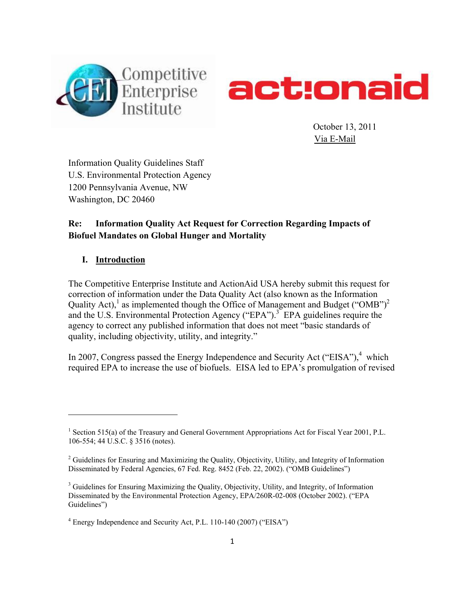



 October 13, 2011 Via E-Mail

Information Quality Guidelines Staff U.S. Environmental Protection Agency 1200 Pennsylvania Avenue, NW Washington, DC 20460

# **Re: Information Quality Act Request for Correction Regarding Impacts of Biofuel Mandates on Global Hunger and Mortality**

## **I. Introduction**

The Competitive Enterprise Institute and ActionAid USA hereby submit this request for correction of information under the Data Quality Act (also known as the Information Quality Act), as implemented though the Office of Management and Budget ("OMB")<sup>2</sup> and the U.S. Environmental Protection Agency ("EPA").<sup>3</sup> EPA guidelines require the agency to correct any published information that does not meet "basic standards of quality, including objectivity, utility, and integrity."

In 2007, Congress passed the Energy Independence and Security Act ("EISA"), $4$  which required EPA to increase the use of biofuels. EISA led to EPA's promulgation of revised

<sup>&</sup>lt;sup>1</sup> Section 515(a) of the Treasury and General Government Appropriations Act for Fiscal Year 2001, P.L. 106-554; 44 U.S.C. § 3516 (notes).

<sup>&</sup>lt;sup>2</sup> Guidelines for Ensuring and Maximizing the Quality, Objectivity, Utility, and Integrity of Information Disseminated by Federal Agencies, 67 Fed. Reg. 8452 (Feb. 22, 2002). ("OMB Guidelines")

<sup>&</sup>lt;sup>3</sup> Guidelines for Ensuring Maximizing the Quality, Objectivity, Utility, and Integrity, of Information Disseminated by the Environmental Protection Agency, EPA/260R-02-008 (October 2002). ("EPA Guidelines")

<sup>&</sup>lt;sup>4</sup> Energy Independence and Security Act, P.L. 110-140 (2007) ("EISA")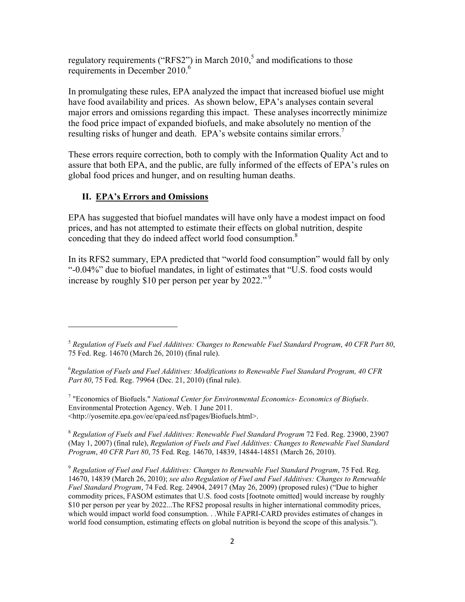regulatory requirements ("RFS2") in March  $2010<sup>5</sup>$  and modifications to those requirements in December 2010.<sup>6</sup>

In promulgating these rules, EPA analyzed the impact that increased biofuel use might have food availability and prices. As shown below, EPA's analyses contain several major errors and omissions regarding this impact. These analyses incorrectly minimize the food price impact of expanded biofuels, and make absolutely no mention of the resulting risks of hunger and death. EPA's website contains similar errors.<sup>7</sup>

These errors require correction, both to comply with the Information Quality Act and to assure that both EPA, and the public, are fully informed of the effects of EPA's rules on global food prices and hunger, and on resulting human deaths.

### **II. EPA's Errors and Omissions**

EPA has suggested that biofuel mandates will have only have a modest impact on food prices, and has not attempted to estimate their effects on global nutrition, despite conceding that they do indeed affect world food consumption.<sup>8</sup>

In its RFS2 summary, EPA predicted that "world food consumption" would fall by only "-0.04%" due to biofuel mandates, in light of estimates that "U.S. food costs would increase by roughly \$10 per person per year by 2022." 9

7 "Economics of Biofuels." *National Center for Environmental Economics- Economics of Biofuels*. Environmental Protection Agency. Web. 1 June 2011. <http://yosemite.epa.gov/ee/epa/eed.nsf/pages/Biofuels.html>.

<sup>8</sup> *Regulation of Fuels and Fuel Additives: Renewable Fuel Standard Program* 72 Fed. Reg. 23900, 23907 (May 1, 2007) (final rule), *Regulation of Fuels and Fuel Additives: Changes to Renewable Fuel Standard Program*, *40 CFR Part 80*, 75 Fed. Reg. 14670, 14839, 14844-14851 (March 26, 2010).

<sup>9</sup> *Regulation of Fuel and Fuel Additives: Changes to Renewable Fuel Standard Program*, 75 Fed. Reg. 14670, 14839 (March 26, 2010); *see also Regulation of Fuel and Fuel Additives: Changes to Renewable Fuel Standard Program*, 74 Fed. Reg. 24904, 24917 (May 26, 2009) (proposed rules) ("Due to higher commodity prices, FASOM estimates that U.S. food costs [footnote omitted] would increase by roughly \$10 per person per year by 2022...The RFS2 proposal results in higher international commodity prices, which would impact world food consumption. . .While FAPRI-CARD provides estimates of changes in world food consumption, estimating effects on global nutrition is beyond the scope of this analysis.").

<sup>5</sup> *Regulation of Fuels and Fuel Additives: Changes to Renewable Fuel Standard Program*, *40 CFR Part 80*, 75 Fed. Reg. 14670 (March 26, 2010) (final rule).

<sup>6</sup> *Regulation of Fuels and Fuel Additives: Modifications to Renewable Fuel Standard Program, 40 CFR Part 80*, 75 Fed. Reg. 79964 (Dec. 21, 2010) (final rule).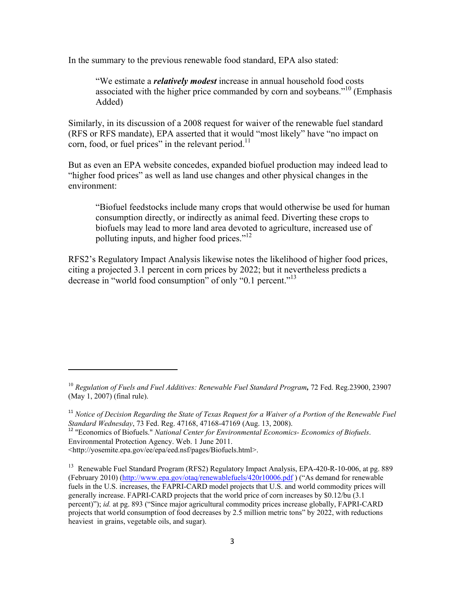In the summary to the previous renewable food standard, EPA also stated:

"We estimate a *relatively modest* increase in annual household food costs associated with the higher price commanded by corn and soybeans.<sup>"10</sup> (Emphasis Added)

Similarly, in its discussion of a 2008 request for waiver of the renewable fuel standard (RFS or RFS mandate), EPA asserted that it would "most likely" have "no impact on corn, food, or fuel prices" in the relevant period. $^{11}$ 

But as even an EPA website concedes, expanded biofuel production may indeed lead to "higher food prices" as well as land use changes and other physical changes in the environment:

"Biofuel feedstocks include many crops that would otherwise be used for human consumption directly, or indirectly as animal feed. Diverting these crops to biofuels may lead to more land area devoted to agriculture, increased use of polluting inputs, and higher food prices."<sup>12</sup>

RFS2's Regulatory Impact Analysis likewise notes the likelihood of higher food prices, citing a projected 3.1 percent in corn prices by 2022; but it nevertheless predicts a decrease in "world food consumption" of only "0.1 percent."<sup>13</sup>

Environmental Protection Agency. Web. 1 June 2011.

<http://yosemite.epa.gov/ee/epa/eed.nsf/pages/Biofuels.html>.

<sup>10</sup> *Regulation of Fuels and Fuel Additives: Renewable Fuel Standard Program,* 72 Fed. Reg.23900, 23907 (May 1, 2007) (final rule).

<sup>&</sup>lt;sup>11</sup> Notice of Decision Regarding the State of Texas Request for a Waiver of a Portion of the Renewable Fuel *Standard Wednesday*, 73 Fed. Reg. 47168, 47168-47169 (Aug. 13, 2008). <sup>12</sup> "Economics of Biofuels." *National Center for Environmental Economics- Economics of Biofuels*.

<sup>&</sup>lt;sup>13</sup> Renewable Fuel Standard Program (RFS2) Regulatory Impact Analysis, EPA-420-R-10-006, at pg. 889 (February 2010) (http://www.epa.gov/otaq/renewablefuels/420r10006.pdf ) ("As demand for renewable fuels in the U.S. increases, the FAPRI-CARD model projects that U.S. and world commodity prices will generally increase. FAPRI-CARD projects that the world price of corn increases by \$0.12/bu (3.1 percent)"); *id.* at pg. 893 ("Since major agricultural commodity prices increase globally, FAPRI-CARD projects that world consumption of food decreases by 2.5 million metric tons" by 2022, with reductions heaviest in grains, vegetable oils, and sugar).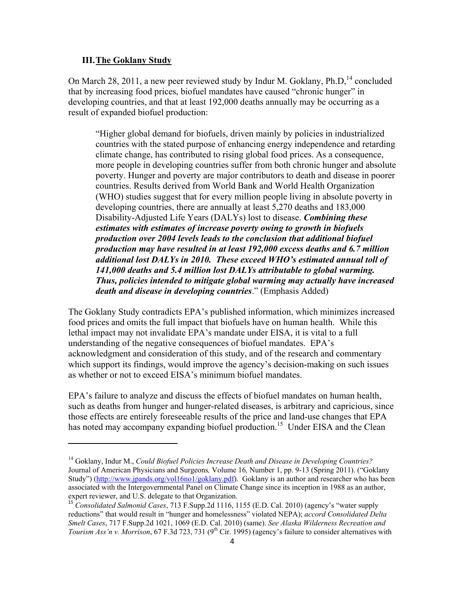#### **III.The Goklany Study**

On March 28, 2011, a new peer reviewed study by Indur M. Goklany,  $Ph.D.<sup>14</sup>$  concluded that by increasing food prices, biofuel mandates have caused "chronic hunger" in developing countries, and that at least 192,000 deaths annually may be occurring as a result of expanded biofuel production:

"Higher global demand for biofuels, driven mainly by policies in industrialized countries with the stated purpose of enhancing energy independence and retarding climate change, has contributed to rising global food prices. As a consequence, more people in developing countries suffer from both chronic hunger and absolute poverty. Hunger and poverty are major contributors to death and disease in poorer countries. Results derived from World Bank and World Health Organization (WHO) studies suggest that for every million people living in absolute poverty in developing countries, there are annually at least 5,270 deaths and 183,000 Disability-Adjusted Life Years (DALYs) lost to disease. *Combining these estimates with estimates of increase poverty owing to growth in biofuels production over 2004 levels leads to the conclusion that additional biofuel production may have resulted in at least 192,000 excess deaths and 6.7 million additional lost DALYs in 2010. These exceed WHO's estimated annual toll of 141,000 deaths and 5.4 million lost DALYs attributable to global warming. Thus, policies intended to mitigate global warming may actually have increased death and disease in developing countries*." (Emphasis Added)

The Goklany Study contradicts EPA's published information, which minimizes increased food prices and omits the full impact that biofuels have on human health. While this lethal impact may not invalidate EPA's mandate under EISA, it is vital to a full understanding of the negative consequences of biofuel mandates. EPA's acknowledgment and consideration of this study, and of the research and commentary which support its findings, would improve the agency's decision-making on such issues as whether or not to exceed EISA's minimum biofuel mandates.

EPA's failure to analyze and discuss the effects of biofuel mandates on human health, such as deaths from hunger and hunger-related diseases, is arbitrary and capricious, since those effects are entirely foreseeable results of the price and land-use changes that EPA has noted may accompany expanding biofuel production.<sup>15</sup> Under EISA and the Clean

<sup>14</sup> Goklany, Indur M., *Could Biofuel Policies Increase Death and Disease in Developing Countries?* Journal of American Physicians and Surgeons*,* Volume 16*,* Number 1, pp. 9-13 (Spring 2011). ("Goklany Study") (http://www.jpands.org/vol16no1/goklany.pdf). Goklany is an author and researcher who has been associated with the Intergovernmental Panel on Climate Change since its inception in 1988 as an author, expert reviewer, and U.S. delegate to that Organization.

<sup>&</sup>lt;sup>15</sup> *Consolidated Salmonid Cases*, 713 F.Supp.2d 1116, 1155 (E.D. Cal. 2010) (agency's "water supply reductions" that would result in "hunger and homelessness" violated NEPA); *accord Consolidated Delta Smelt Cases*, 717 F.Supp.2d 1021, 1069 (E.D. Cal. 2010) (same). *See Alaska Wilderness Recreation and Tourism Ass'n v. Morrison*, 67 F.3d 723, 731 (9<sup>th</sup> Cir. 1995) (agency's failure to consider alternatives with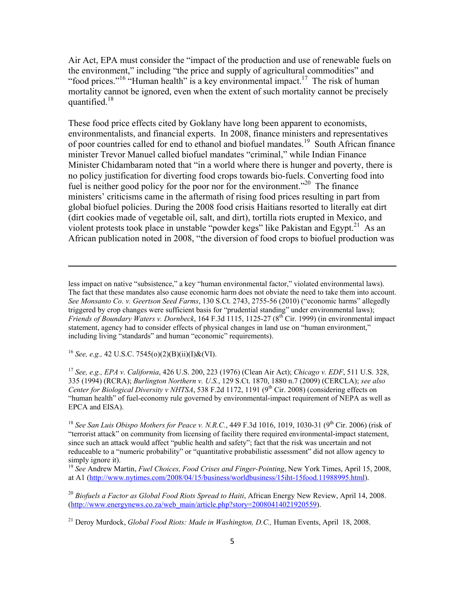Air Act, EPA must consider the "impact of the production and use of renewable fuels on the environment," including "the price and supply of agricultural commodities" and "food prices."<sup>16</sup> "Human health" is a key environmental impact.<sup>17</sup> The risk of human mortality cannot be ignored, even when the extent of such mortality cannot be precisely quantified.<sup>18</sup>

These food price effects cited by Goklany have long been apparent to economists, environmentalists, and financial experts. In 2008, finance ministers and representatives of poor countries called for end to ethanol and biofuel mandates.<sup>19</sup> South African finance minister Trevor Manuel called biofuel mandates "criminal," while Indian Finance Minister Chidambaram noted that "in a world where there is hunger and poverty, there is no policy justification for diverting food crops towards bio-fuels. Converting food into fuel is neither good policy for the poor nor for the environment.<sup>220</sup> The finance ministers' criticisms came in the aftermath of rising food prices resulting in part from global biofuel policies. During the 2008 food crisis Haitians resorted to literally eat dirt (dirt cookies made of vegetable oil, salt, and dirt), tortilla riots erupted in Mexico, and violent protests took place in unstable "powder kegs" like Pakistan and Egypt.<sup>21</sup> As an African publication noted in 2008, "the diversion of food crops to biofuel production was

<u> 1989 - Johann Stein, marwolaethau a bhann an chomhair an chomhair an chomhair an chomhair an chomhair an chom</u>

<sup>16</sup> *See, e.g.,* 42 U.S.C. 7545(o)(2)(B)(ii)(I)&(VI).

<sup>17</sup> *See, e.g., EPA v. California*, 426 U.S. 200, 223 (1976) (Clean Air Act); *Chicago v. EDF*, 511 U.S. 328, 335 (1994) (RCRA); *Burlington Northern v. U.S.*, 129 S.Ct. 1870, 1880 n.7 (2009) (CERCLA); *see also Center for Biological Diversity v NHTSA*, 538 F.2d 1172, 1191 (9<sup>th</sup> Cir. 2008) (considering effects on "human health" of fuel-economy rule governed by environmental-impact requirement of NEPA as well as EPCA and EISA).

<sup>18</sup> *See San Luis Obispo Mothers for Peace v. N.R.C.*, 449 F.3d 1016, 1019, 1030-31 (9<sup>th</sup> Cir. 2006) (risk of "terrorist attack" on community from licensing of facility there required environmental-impact statement, since such an attack would affect "public health and safety"; fact that the risk was uncertain and not reduceable to a "numeric probability" or "quantitative probabilistic assessment" did not allow agency to simply ignore it).

<sup>19</sup> *See* Andrew Martin, *Fuel Choices, Food Crises and Finger-Pointing*, New York Times, April 15, 2008, at A1 (http://www.nytimes.com/2008/04/15/business/worldbusiness/15iht-15food.11988995.html).

<sup>20</sup> *Biofuels a Factor as Global Food Riots Spread to Haiti*, African Energy New Review, April 14, 2008. (http://www.energynews.co.za/web\_main/article.php?story=20080414021920559).

less impact on native "subsistence," a key "human environmental factor," violated environmental laws). The fact that these mandates also cause economic harm does not obviate the need to take them into account. *See Monsanto Co. v. Geertson Seed Farms*, 130 S.Ct. 2743, 2755-56 (2010) ("economic harms" allegedly triggered by crop changes were sufficient basis for "prudential standing" under environmental laws); *Friends of Boundary Waters v. Dornbeck*, 164 F.3d 1115, 1125-27 (8th Cir. 1999) (in environmental impact statement, agency had to consider effects of physical changes in land use on "human environment," including living "standards" and human "economic" requirements).

<sup>&</sup>lt;sup>21</sup> Deroy Murdock, *Global Food Riots: Made in Washington, D.C.*, Human Events, April 18, 2008.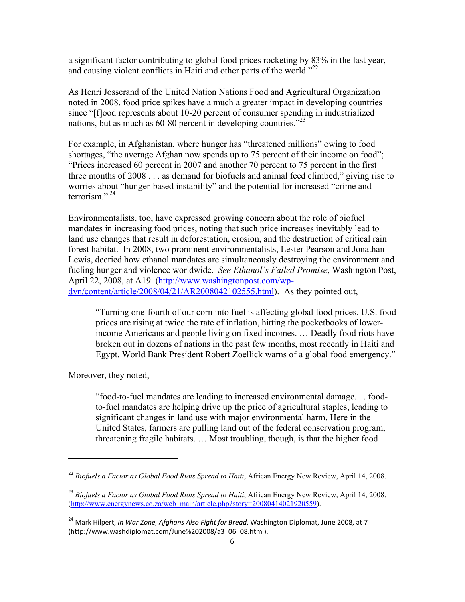a significant factor contributing to global food prices rocketing by 83% in the last year, and causing violent conflicts in Haiti and other parts of the world."<sup>22</sup>

As Henri Josserand of the United Nation Nations Food and Agricultural Organization noted in 2008, food price spikes have a much a greater impact in developing countries since "[f]ood represents about 10-20 percent of consumer spending in industrialized nations, but as much as 60-80 percent in developing countries.<sup>223</sup>

For example, in Afghanistan, where hunger has "threatened millions" owing to food shortages, "the average Afghan now spends up to 75 percent of their income on food"; "Prices increased 60 percent in 2007 and another 70 percent to 75 percent in the first three months of 2008 . . . as demand for biofuels and animal feed climbed," giving rise to worries about "hunger-based instability" and the potential for increased "crime and terrorism<sup> $"24"$ </sup>

Environmentalists, too, have expressed growing concern about the role of biofuel mandates in increasing food prices, noting that such price increases inevitably lead to land use changes that result in deforestation, erosion, and the destruction of critical rain forest habitat. In 2008, two prominent environmentalists, Lester Pearson and Jonathan Lewis, decried how ethanol mandates are simultaneously destroying the environment and fueling hunger and violence worldwide. *See Ethanol's Failed Promise*, Washington Post, April 22, 2008, at A19 (http://www.washingtonpost.com/wpdyn/content/article/2008/04/21/AR2008042102555.html). As they pointed out,

"Turning one-fourth of our corn into fuel is affecting global food prices. U.S. food prices are rising at twice the rate of inflation, hitting the pocketbooks of lowerincome Americans and people living on fixed incomes. … Deadly food riots have broken out in dozens of nations in the past few months, most recently in Haiti and Egypt. World Bank President Robert Zoellick warns of a global food emergency."

Moreover, they noted,

"food-to-fuel mandates are leading to increased environmental damage. . . foodto-fuel mandates are helping drive up the price of agricultural staples, leading to significant changes in land use with major environmental harm. Here in the United States, farmers are pulling land out of the federal conservation program, threatening fragile habitats. … Most troubling, though, is that the higher food

<sup>22</sup> *Biofuels a Factor as Global Food Riots Spread to Haiti*, African Energy New Review, April 14, 2008.

<sup>23</sup> *Biofuels a Factor as Global Food Riots Spread to Haiti*, African Energy New Review, April 14, 2008. (http://www.energynews.co.za/web\_main/article.php?story=20080414021920559).

<sup>24</sup> Mark Hilpert, *In War Zone, Afghans Also Fight for Bread*, Washington Diplomat, June 2008, at 7 (http://www.washdiplomat.com/June%202008/a3\_06\_08.html).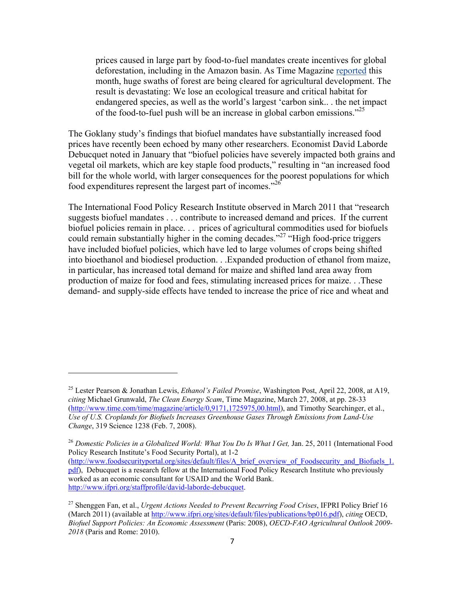prices caused in large part by food-to-fuel mandates create incentives for global deforestation, including in the Amazon basin. As Time Magazine reported this month, huge swaths of forest are being cleared for agricultural development. The result is devastating: We lose an ecological treasure and critical habitat for endangered species, as well as the world's largest 'carbon sink.. . the net impact of the food-to-fuel push will be an increase in global carbon emissions.<sup>25</sup>

The Goklany study's findings that biofuel mandates have substantially increased food prices have recently been echoed by many other researchers. Economist David Laborde Debucquet noted in January that "biofuel policies have severely impacted both grains and vegetal oil markets, which are key staple food products," resulting in "an increased food bill for the whole world, with larger consequences for the poorest populations for which food expenditures represent the largest part of incomes.<sup> $26$ </sup>

The International Food Policy Research Institute observed in March 2011 that "research suggests biofuel mandates . . . contribute to increased demand and prices. If the current biofuel policies remain in place. . . prices of agricultural commodities used for biofuels could remain substantially higher in the coming decades."<sup>27</sup> "High food-price triggers" have included biofuel policies, which have led to large volumes of crops being shifted into bioethanol and biodiesel production. . .Expanded production of ethanol from maize, in particular, has increased total demand for maize and shifted land area away from production of maize for food and fees, stimulating increased prices for maize. . .These demand- and supply-side effects have tended to increase the price of rice and wheat and

<sup>25</sup> Lester Pearson & Jonathan Lewis, *Ethanol's Failed Promise*, Washington Post, April 22, 2008, at A19, *citing* Michael Grunwald, *The Clean Energy Scam*, Time Magazine, March 27, 2008, at pp. 28-33 (http://www.time.com/time/magazine/article/0,9171,1725975,00.html), and Timothy Searchinger, et al., *Use of U.S. Croplands for Biofuels Increases Greenhouse Gases Through Emissions from Land-Use Change*, 319 Science 1238 (Feb. 7, 2008).

<sup>&</sup>lt;sup>26</sup> Domestic Policies in a Globalized World: What You Do Is What I Get, Jan. 25, 2011 (International Food Policy Research Institute's Food Security Portal), at 1-2

<sup>(</sup>http://www.foodsecurityportal.org/sites/default/files/A\_brief\_overview\_of\_Foodsecurity\_and\_Biofuels\_1. pdf), Debucquet is a research fellow at the International Food Policy Research Institute who previously worked as an economic consultant for USAID and the World Bank. http://www.ifpri.org/staffprofile/david-laborde-debucquet.

<sup>27</sup> Shenggen Fan, et al., *Urgent Actions Needed to Prevent Recurring Food Crises*, IFPRI Policy Brief 16 (March 2011) (available at http://www.ifpri.org/sites/default/files/publications/bp016.pdf), *citing* OECD, *Biofuel Support Policies: An Economic Assessment* (Paris: 2008), *OECD-FAO Agricultural Outlook 2009- 2018* (Paris and Rome: 2010).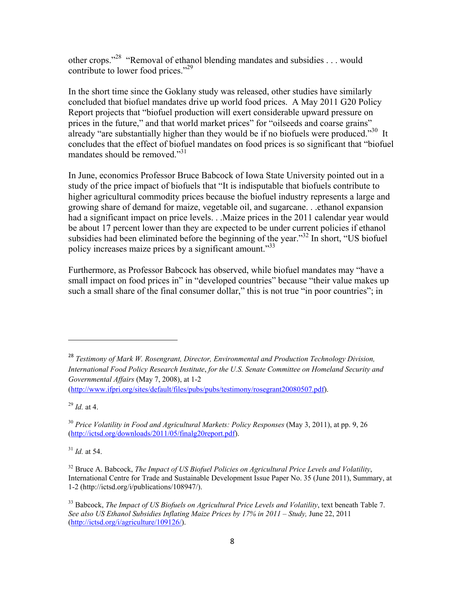other crops."28 "Removal of ethanol blending mandates and subsidies . . . would contribute to lower food prices."<sup>29</sup>

In the short time since the Goklany study was released, other studies have similarly concluded that biofuel mandates drive up world food prices. A May 2011 G20 Policy Report projects that "biofuel production will exert considerable upward pressure on prices in the future," and that world market prices" for "oilseeds and coarse grains" already "are substantially higher than they would be if no biofuels were produced."<sup>30</sup> It concludes that the effect of biofuel mandates on food prices is so significant that "biofuel mandates should be removed."<sup>31</sup>

In June, economics Professor Bruce Babcock of Iowa State University pointed out in a study of the price impact of biofuels that "It is indisputable that biofuels contribute to higher agricultural commodity prices because the biofuel industry represents a large and growing share of demand for maize, vegetable oil, and sugarcane. . .ethanol expansion had a significant impact on price levels. . .Maize prices in the 2011 calendar year would be about 17 percent lower than they are expected to be under current policies if ethanol subsidies had been eliminated before the beginning of the year."<sup>32</sup> In short, "US biofuel policy increases maize prices by a significant amount.<sup>33</sup>

Furthermore, as Professor Babcock has observed, while biofuel mandates may "have a small impact on food prices in" in "developed countries" because "their value makes up such a small share of the final consumer dollar," this is not true "in poor countries"; in

<sup>28</sup> *Testimony of Mark W. Rosengrant, Director, Environmental and Production Technology Division, International Food Policy Research Institute*, *for the U.S. Senate Committee on Homeland Security and Governmental Affairs* (May 7, 2008), at 1-2 (http://www.ifpri.org/sites/default/files/pubs/pubs/testimony/rosegrant20080507.pdf).

<sup>29</sup> *Id.* at 4.

 $31$  *Id.* at 54.

<sup>30</sup> *Price Volatility in Food and Agricultural Markets: Policy Responses* (May 3, 2011), at pp. 9, 26 (http://ictsd.org/downloads/2011/05/finalg20report.pdf).

<sup>32</sup> Bruce A. Babcock, *The Impact of US Biofuel Policies on Agricultural Price Levels and Volatility*, International Centre for Trade and Sustainable Development Issue Paper No. 35 (June 2011), Summary, at 1-2 (http://ictsd.org/i/publications/108947/).

<sup>33</sup> Babcock, *The Impact of US Biofuels on Agricultural Price Levels and Volatility*, text beneath Table 7. *See also US Ethanol Subsidies Inflating Maize Prices by 17% in 2011 – Study,* June 22, 2011 (http://ictsd.org/i/agriculture/109126/).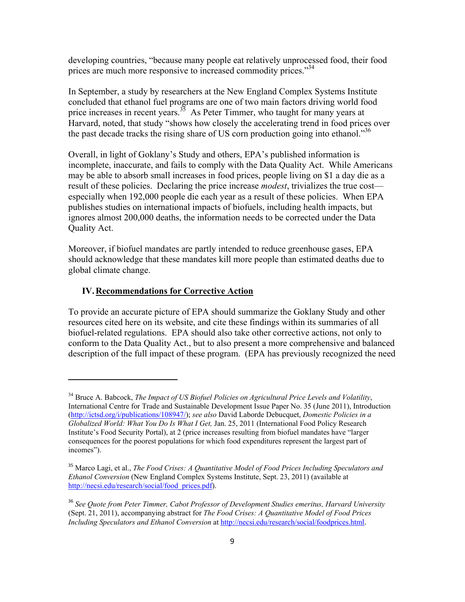developing countries, "because many people eat relatively unprocessed food, their food prices are much more responsive to increased commodity prices."<sup>34</sup>

In September, a study by researchers at the New England Complex Systems Institute concluded that ethanol fuel programs are one of two main factors driving world food price increases in recent years.<sup>35</sup> As Peter Timmer, who taught for many years at Harvard, noted, that study "shows how closely the accelerating trend in food prices over the past decade tracks the rising share of US corn production going into ethanol."<sup>36</sup>

Overall, in light of Goklany's Study and others, EPA's published information is incomplete, inaccurate, and fails to comply with the Data Quality Act. While Americans may be able to absorb small increases in food prices, people living on \$1 a day die as a result of these policies. Declaring the price increase *modest*, trivializes the true cost especially when 192,000 people die each year as a result of these policies. When EPA publishes studies on international impacts of biofuels, including health impacts, but ignores almost 200,000 deaths, the information needs to be corrected under the Data Quality Act.

Moreover, if biofuel mandates are partly intended to reduce greenhouse gases, EPA should acknowledge that these mandates kill more people than estimated deaths due to global climate change.

#### **IV.Recommendations for Corrective Action**

To provide an accurate picture of EPA should summarize the Goklany Study and other resources cited here on its website, and cite these findings within its summaries of all biofuel-related regulations. EPA should also take other corrective actions, not only to conform to the Data Quality Act., but to also present a more comprehensive and balanced description of the full impact of these program. (EPA has previously recognized the need

<sup>34</sup> Bruce A. Babcock, *The Impact of US Biofuel Policies on Agricultural Price Levels and Volatility*, International Centre for Trade and Sustainable Development Issue Paper No. 35 (June 2011), Introduction (http://ictsd.org/i/publications/108947/); *see also* David Laborde Debucquet, *Domestic Policies in a Globalized World: What You Do Is What I Get,* Jan. 25, 2011 (International Food Policy Research Institute's Food Security Portal), at 2 (price increases resulting from biofuel mandates have "larger consequences for the poorest populations for which food expenditures represent the largest part of incomes").

<sup>35</sup> Marco Lagi, et al., *The Food Crises: A Quantitative Model of Food Prices Including Speculators and Ethanol Conversion* (New England Complex Systems Institute, Sept. 23, 2011) (available at http://necsi.edu/research/social/food\_prices.pdf).

<sup>36</sup> *See Quote from Peter Timmer, Cabot Professor of Development Studies emeritus, Harvard University*  (Sept. 21, 2011), accompanying abstract for *The Food Crises: A Quantitative Model of Food Prices Including Speculators and Ethanol Conversion* at http://necsi.edu/research/social/foodprices.html.